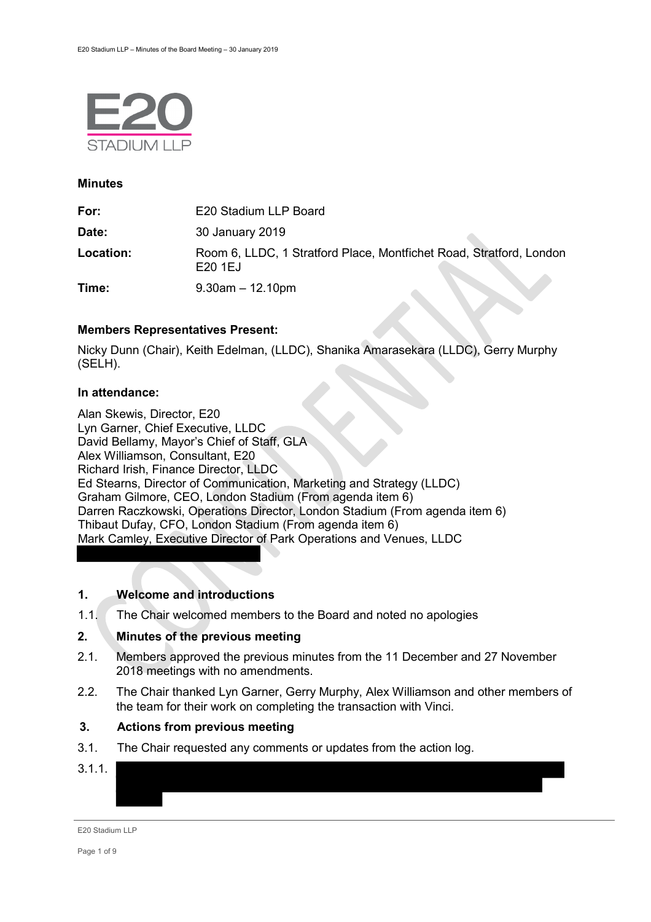

#### **Minutes**

| For:      | E20 Stadium LLP Board                                                         |
|-----------|-------------------------------------------------------------------------------|
| Date:     | 30 January 2019                                                               |
| Location: | Room 6, LLDC, 1 Stratford Place, Montfichet Road, Stratford, London<br>E201EJ |
| Time:     | $9.30$ am $-12.10$ pm                                                         |

## **Members Representatives Present:**

Nicky Dunn (Chair), Keith Edelman, (LLDC), Shanika Amarasekara (LLDC), Gerry Murphy (SELH).

#### **In attendance:**

Alan Skewis, Director, E20 Lyn Garner, Chief Executive, LLDC David Bellamy, Mayor's Chief of Staff, GLA Alex Williamson, Consultant, E20 Richard Irish, Finance Director, LLDC Ed Stearns, Director of Communication, Marketing and Strategy (LLDC) Graham Gilmore, CEO, London Stadium (From agenda item 6) Darren Raczkowski, Operations Director, London Stadium (From agenda item 6) Thibaut Dufay, CFO, London Stadium (From agenda item 6) Mark Camley, Executive Director of Park Operations and Venues, LLDC

## **1. Welcome and introductions**

1.1. The Chair welcomed members to the Board and noted no apologies

# **2. Minutes of the previous meeting**

- 2.1. Members approved the previous minutes from the 11 December and 27 November 2018 meetings with no amendments.
- 2.2. The Chair thanked Lyn Garner, Gerry Murphy, Alex Williamson and other members of the team for their work on completing the transaction with Vinci.

### **3. Actions from previous meeting**

- 3.1. The Chair requested any comments or updates from the action log.
- $3.1.1.$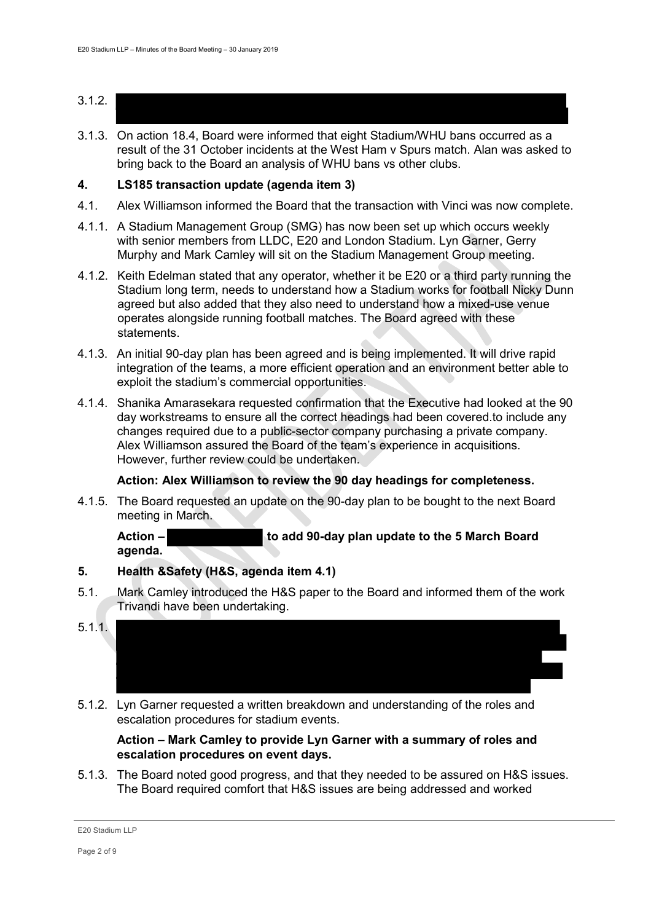- 3.1.2.
- 3.1.3. On action 18.4, Board were informed that eight Stadium/WHU bans occurred as a result of the 31 October incidents at the West Ham v Spurs match. Alan was asked to bring back to the Board an analysis of WHU bans vs other clubs.

#### **4. LS185 transaction update (agenda item 3)**

- 4.1. Alex Williamson informed the Board that the transaction with Vinci was now complete.
- 4.1.1. A Stadium Management Group (SMG) has now been set up which occurs weekly with senior members from LLDC, E20 and London Stadium. Lyn Garner, Gerry Murphy and Mark Camley will sit on the Stadium Management Group meeting.
- 4.1.2. Keith Edelman stated that any operator, whether it be E20 or a third party running the Stadium long term, needs to understand how a Stadium works for football Nicky Dunn agreed but also added that they also need to understand how a mixed-use venue operates alongside running football matches. The Board agreed with these statements.
- 4.1.3. An initial 90-day plan has been agreed and is being implemented. It will drive rapid integration of the teams, a more efficient operation and an environment better able to exploit the stadium's commercial opportunities.
- 4.1.4. Shanika Amarasekara requested confirmation that the Executive had looked at the 90 day workstreams to ensure all the correct headings had been covered.to include any changes required due to a public-sector company purchasing a private company. Alex Williamson assured the Board of the team's experience in acquisitions. However, further review could be undertaken.

## **Action: Alex Williamson to review the 90 day headings for completeness.**

4.1.5. The Board requested an update on the 90-day plan to be bought to the next Board meeting in March.

**Action – to add 90-day plan update to the 5 March Board agenda.**

## **5. Health &Safety (H&S, agenda item 4.1)**

- 5.1. Mark Camley introduced the H&S paper to the Board and informed them of the work Trivandi have been undertaking.
- 5.1.1.
- 5.1.2. Lyn Garner requested a written breakdown and understanding of the roles and escalation procedures for stadium events.

#### **Action – Mark Camley to provide Lyn Garner with a summary of roles and escalation procedures on event days.**

5.1.3. The Board noted good progress, and that they needed to be assured on H&S issues. The Board required comfort that H&S issues are being addressed and worked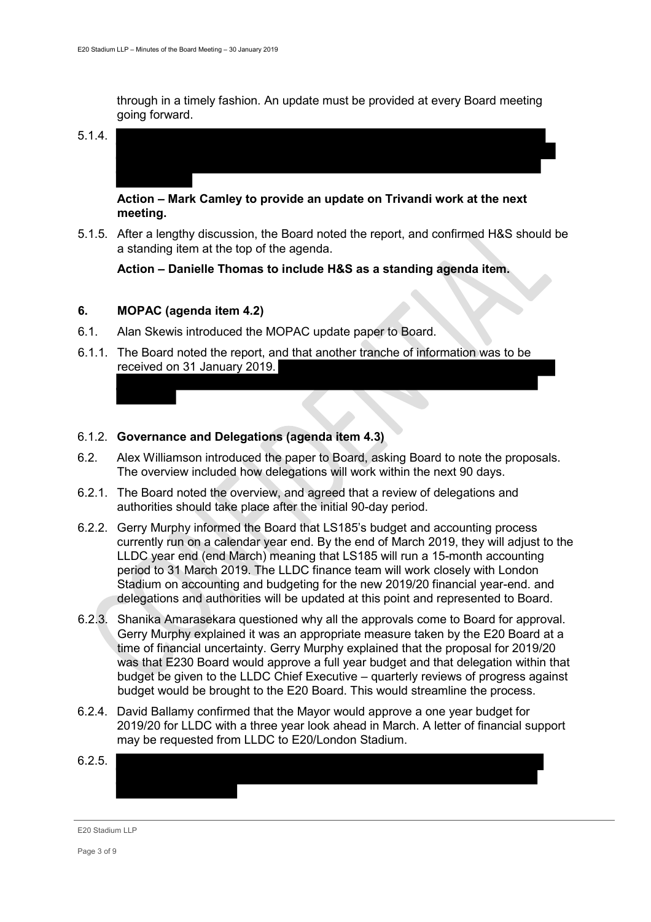through in a timely fashion. An update must be provided at every Board meeting going forward.

5.1.4.

**Action – Mark Camley to provide an update on Trivandi work at the next meeting.**

5.1.5. After a lengthy discussion, the Board noted the report, and confirmed H&S should be a standing item at the top of the agenda.

**Action – Danielle Thomas to include H&S as a standing agenda item.**

## **6. MOPAC (agenda item 4.2)**

- 6.1. Alan Skewis introduced the MOPAC update paper to Board.
- 6.1.1. The Board noted the report, and that another tranche of information was to be received on 31 January 2019.

#### 6.1.2. **Governance and Delegations (agenda item 4.3)**

- 6.2. Alex Williamson introduced the paper to Board, asking Board to note the proposals. The overview included how delegations will work within the next 90 days.
- 6.2.1. The Board noted the overview, and agreed that a review of delegations and authorities should take place after the initial 90-day period.
- 6.2.2. Gerry Murphy informed the Board that LS185's budget and accounting process currently run on a calendar year end. By the end of March 2019, they will adjust to the LLDC year end (end March) meaning that LS185 will run a 15-month accounting period to 31 March 2019. The LLDC finance team will work closely with London Stadium on accounting and budgeting for the new 2019/20 financial year-end. and delegations and authorities will be updated at this point and represented to Board.
- 6.2.3. Shanika Amarasekara questioned why all the approvals come to Board for approval. Gerry Murphy explained it was an appropriate measure taken by the E20 Board at a time of financial uncertainty. Gerry Murphy explained that the proposal for 2019/20 was that E230 Board would approve a full year budget and that delegation within that budget be given to the LLDC Chief Executive – quarterly reviews of progress against budget would be brought to the E20 Board. This would streamline the process.
- 6.2.4. David Ballamy confirmed that the Mayor would approve a one year budget for 2019/20 for LLDC with a three year look ahead in March. A letter of financial support may be requested from LLDC to E20/London Stadium.

| 6.2.5. |  |  |
|--------|--|--|
|        |  |  |
|        |  |  |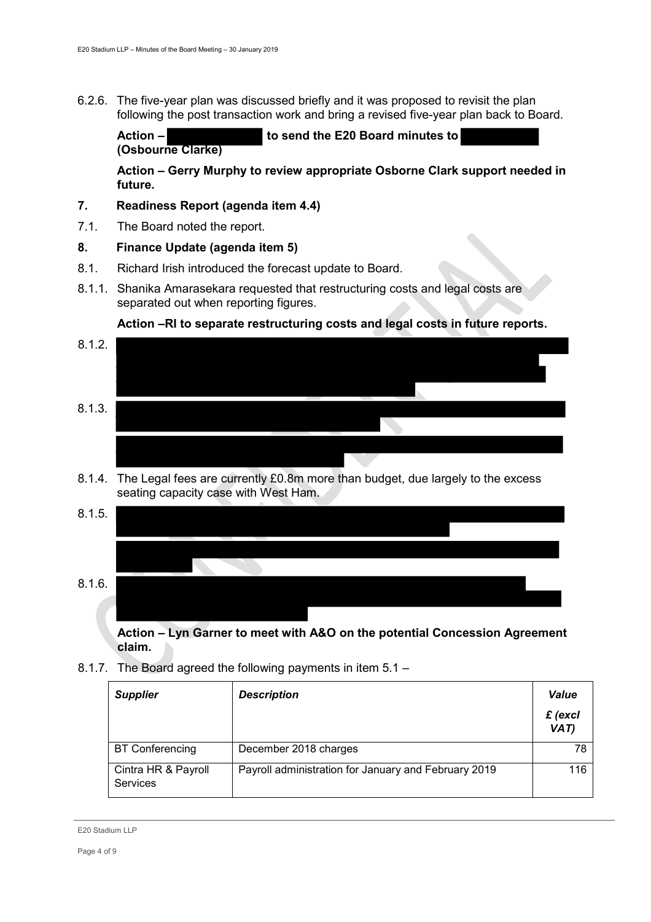6.2.6. The five-year plan was discussed briefly and it was proposed to revisit the plan following the post transaction work and bring a revised five-year plan back to Board.

**Action – to send the E20 Board minutes to (Osbourne Clarke)**

**Action – Gerry Murphy to review appropriate Osborne Clark support needed in future.** 

#### **7. Readiness Report (agenda item 4.4)**

7.1. The Board noted the report.

#### **8. Finance Update (agenda item 5)**

- 8.1. Richard Irish introduced the forecast update to Board.
- 8.1.1. Shanika Amarasekara requested that restructuring costs and legal costs are separated out when reporting figures.

## **Action –RI to separate restructuring costs and legal costs in future reports.**



- 8.1.4. The Legal fees are currently £0.8m more than budget, due largely to the excess seating capacity case with West Ham.
- 8.1.5. 8.1.6.

**Action – Lyn Garner to meet with A&O on the potential Concession Agreement claim.**

8.1.7. The Board agreed the following payments in item 5.1 –

| <b>Supplier</b>                 | <b>Description</b>                                   | <b>Value</b>              |
|---------------------------------|------------------------------------------------------|---------------------------|
|                                 |                                                      | $\mathbf f$ (excl<br>VAT) |
| <b>BT Conferencing</b>          | December 2018 charges                                | 78                        |
| Cintra HR & Payroll<br>Services | Payroll administration for January and February 2019 | 116                       |

E20 Stadium LLP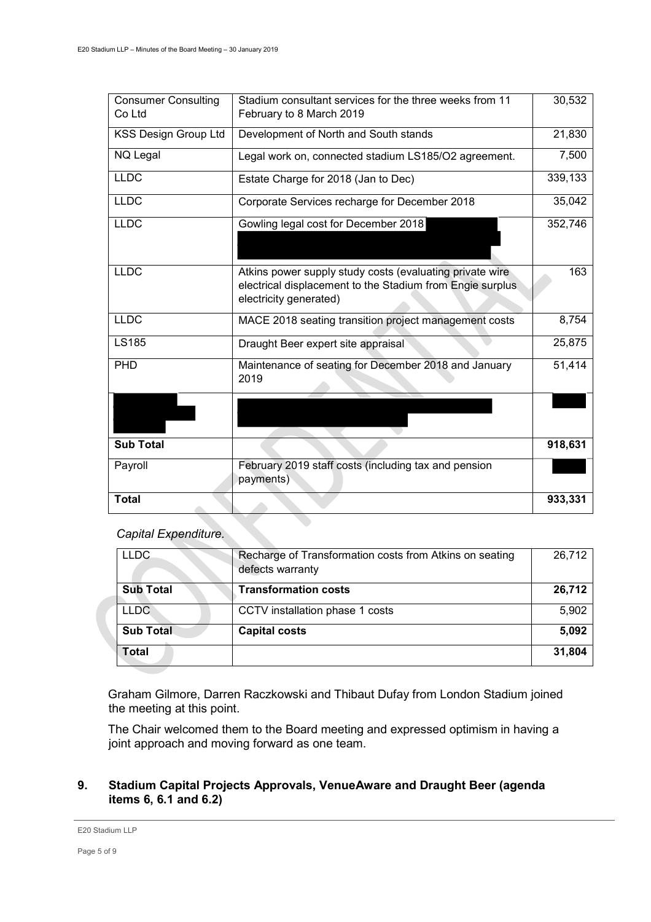| <b>Consumer Consulting</b><br>Co Ltd | Stadium consultant services for the three weeks from 11<br>February to 8 March 2019                                                             | 30,532  |
|--------------------------------------|-------------------------------------------------------------------------------------------------------------------------------------------------|---------|
| <b>KSS Design Group Ltd</b>          | Development of North and South stands                                                                                                           | 21,830  |
| NQ Legal                             | Legal work on, connected stadium LS185/O2 agreement.                                                                                            | 7,500   |
| <b>LLDC</b>                          | Estate Charge for 2018 (Jan to Dec)                                                                                                             | 339,133 |
| <b>LLDC</b>                          | Corporate Services recharge for December 2018                                                                                                   | 35,042  |
| <b>LLDC</b>                          | Gowling legal cost for December 2018                                                                                                            | 352,746 |
| <b>LLDC</b>                          | Atkins power supply study costs (evaluating private wire<br>electrical displacement to the Stadium from Engie surplus<br>electricity generated) | 163     |
| <b>LLDC</b>                          | MACE 2018 seating transition project management costs                                                                                           | 8,754   |
| <b>LS185</b>                         | Draught Beer expert site appraisal                                                                                                              | 25,875  |
| PHD                                  | Maintenance of seating for December 2018 and January<br>2019                                                                                    | 51,414  |
|                                      |                                                                                                                                                 |         |
| <b>Sub Total</b>                     |                                                                                                                                                 | 918,631 |
| Payroll                              | February 2019 staff costs (including tax and pension<br>payments)                                                                               |         |
| <b>Total</b>                         |                                                                                                                                                 | 933,331 |

# *Capital Expenditure.*

| <b>LLDC</b>      | Recharge of Transformation costs from Atkins on seating<br>defects warranty | 26,712 |
|------------------|-----------------------------------------------------------------------------|--------|
| <b>Sub Total</b> | <b>Transformation costs</b>                                                 | 26,712 |
| <b>LLDC</b>      | CCTV installation phase 1 costs                                             | 5,902  |
| <b>Sub Total</b> | <b>Capital costs</b>                                                        | 5,092  |
| <b>Total</b>     |                                                                             | 31,804 |

Graham Gilmore, Darren Raczkowski and Thibaut Dufay from London Stadium joined the meeting at this point.

The Chair welcomed them to the Board meeting and expressed optimism in having a joint approach and moving forward as one team.

# **9. Stadium Capital Projects Approvals, VenueAware and Draught Beer (agenda items 6, 6.1 and 6.2)**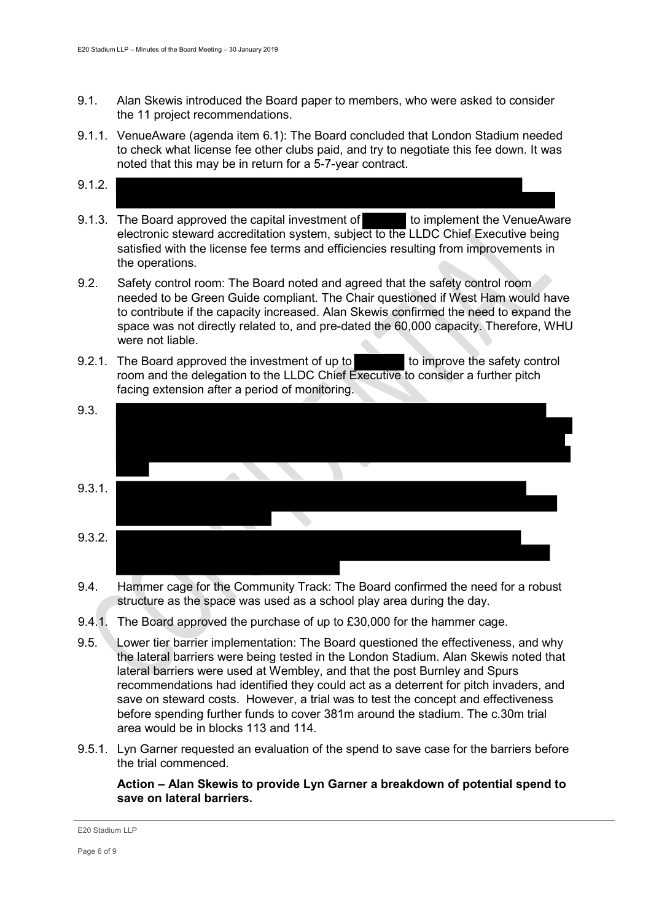- 9.1. Alan Skewis introduced the Board paper to members, who were asked to consider the 11 project recommendations.
- 9.1.1. VenueAware (agenda item 6.1): The Board concluded that London Stadium needed to check what license fee other clubs paid, and try to negotiate this fee down. It was noted that this may be in return for a 5-7-year contract.
- 9.1.2.
- 9.1.3. The Board approved the capital investment of the implement the VenueAware electronic steward accreditation system, subject to the LLDC Chief Executive being satisfied with the license fee terms and efficiencies resulting from improvements in the operations.
- 9.2. Safety control room: The Board noted and agreed that the safety control room needed to be Green Guide compliant. The Chair questioned if West Ham would have to contribute if the capacity increased. Alan Skewis confirmed the need to expand the space was not directly related to, and pre-dated the 60,000 capacity. Therefore, WHU were not liable.
- 9.2.1. The Board approved the investment of up to to improve the safety control room and the delegation to the LLDC Chief Executive to consider a further pitch facing extension after a period of monitoring.
- 9.3. 9.3.1. 9.3.2.
- 9.4. Hammer cage for the Community Track: The Board confirmed the need for a robust structure as the space was used as a school play area during the day.
- 9.4.1. The Board approved the purchase of up to £30,000 for the hammer cage.
- 9.5. Lower tier barrier implementation: The Board questioned the effectiveness, and why the lateral barriers were being tested in the London Stadium. Alan Skewis noted that lateral barriers were used at Wembley, and that the post Burnley and Spurs recommendations had identified they could act as a deterrent for pitch invaders, and save on steward costs. However, a trial was to test the concept and effectiveness before spending further funds to cover 381m around the stadium. The c.30m trial area would be in blocks 113 and 114.
- 9.5.1. Lyn Garner requested an evaluation of the spend to save case for the barriers before the trial commenced.

#### **Action – Alan Skewis to provide Lyn Garner a breakdown of potential spend to save on lateral barriers.**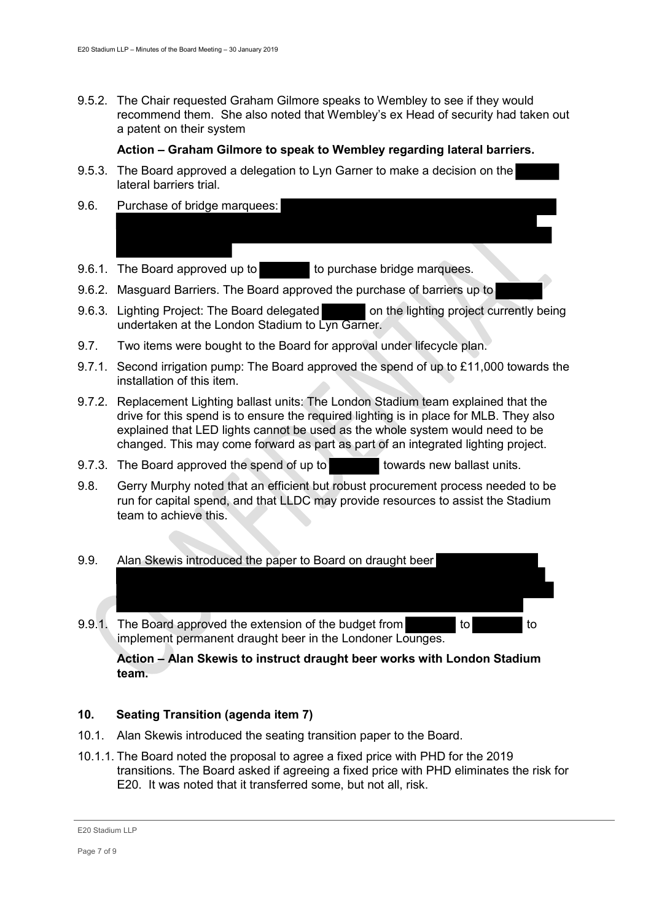9.5.2. The Chair requested Graham Gilmore speaks to Wembley to see if they would recommend them. She also noted that Wembley's ex Head of security had taken out a patent on their system

## **Action – Graham Gilmore to speak to Wembley regarding lateral barriers.**

- 9.5.3. The Board approved a delegation to Lyn Garner to make a decision on the lateral barriers trial.
- 9.6. Purchase of bridge marquees:
- 9.6.1. The Board approved up to the purchase bridge marquees.
- 9.6.2. Masguard Barriers. The Board approved the purchase of barriers up to
- 9.6.3. Lighting Project: The Board delegated on the lighting project currently being undertaken at the London Stadium to Lyn Garner.
- 9.7. Two items were bought to the Board for approval under lifecycle plan.
- 9.7.1. Second irrigation pump: The Board approved the spend of up to £11,000 towards the installation of this item.
- 9.7.2. Replacement Lighting ballast units: The London Stadium team explained that the drive for this spend is to ensure the required lighting is in place for MLB. They also explained that LED lights cannot be used as the whole system would need to be changed. This may come forward as part as part of an integrated lighting project.
- 9.7.3. The Board approved the spend of up to towards new ballast units.
- 9.8. Gerry Murphy noted that an efficient but robust procurement process needed to be run for capital spend, and that LLDC may provide resources to assist the Stadium team to achieve this.

#### 9.9. Alan Skewis introduced the paper to Board on draught beer

9.9.1. The Board approved the extension of the budget from to to to to implement permanent draught beer in the Londoner Lounges.

**Action – Alan Skewis to instruct draught beer works with London Stadium team.** 

## **10. Seating Transition (agenda item 7)**

- 10.1. Alan Skewis introduced the seating transition paper to the Board.
- 10.1.1. The Board noted the proposal to agree a fixed price with PHD for the 2019 transitions. The Board asked if agreeing a fixed price with PHD eliminates the risk for E20. It was noted that it transferred some, but not all, risk.

E20 Stadium LLP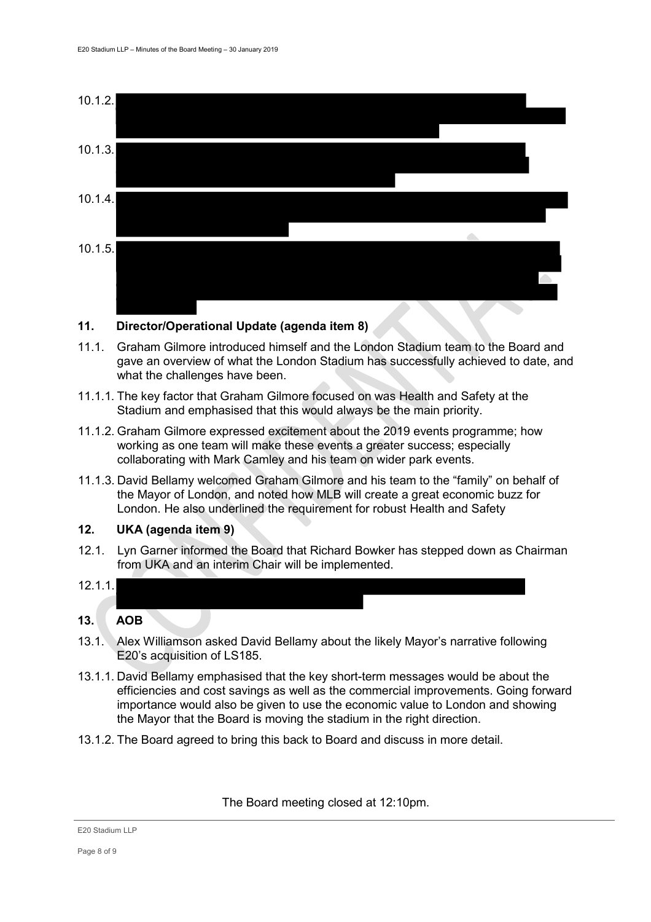

#### **11. Director/Operational Update (agenda item 8)**

- 11.1. Graham Gilmore introduced himself and the London Stadium team to the Board and gave an overview of what the London Stadium has successfully achieved to date, and what the challenges have been.
- 11.1.1. The key factor that Graham Gilmore focused on was Health and Safety at the Stadium and emphasised that this would always be the main priority.
- 11.1.2. Graham Gilmore expressed excitement about the 2019 events programme; how working as one team will make these events a greater success; especially collaborating with Mark Camley and his team on wider park events.
- 11.1.3. David Bellamy welcomed Graham Gilmore and his team to the "family" on behalf of the Mayor of London, and noted how MLB will create a great economic buzz for London. He also underlined the requirement for robust Health and Safety

## **12. UKA (agenda item 9)**

- 12.1. Lyn Garner informed the Board that Richard Bowker has stepped down as Chairman from UKA and an interim Chair will be implemented.
- 12.1.1. **13. AOB**
- 
- 13.1. Alex Williamson asked David Bellamy about the likely Mayor's narrative following E20's acquisition of LS185.
- 13.1.1. David Bellamy emphasised that the key short-term messages would be about the efficiencies and cost savings as well as the commercial improvements. Going forward importance would also be given to use the economic value to London and showing the Mayor that the Board is moving the stadium in the right direction.
- 13.1.2. The Board agreed to bring this back to Board and discuss in more detail.

The Board meeting closed at 12:10pm.

E20 Stadium LLP